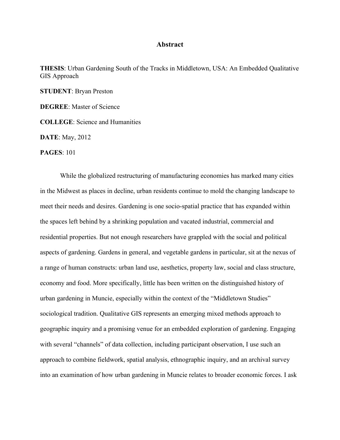## **Abstract**

**THESIS**: Urban Gardening South of the Tracks in Middletown, USA: An Embedded Qualitative GIS Approach

**STUDENT**: Bryan Preston

**DEGREE**: Master of Science

**COLLEGE**: Science and Humanities

**DATE**: May, 2012

**PAGES**: 101

While the globalized restructuring of manufacturing economies has marked many cities in the Midwest as places in decline, urban residents continue to mold the changing landscape to meet their needs and desires. Gardening is one socio-spatial practice that has expanded within the spaces left behind by a shrinking population and vacated industrial, commercial and residential properties. But not enough researchers have grappled with the social and political aspects of gardening. Gardens in general, and vegetable gardens in particular, sit at the nexus of a range of human constructs: urban land use, aesthetics, property law, social and class structure, economy and food. More specifically, little has been written on the distinguished history of urban gardening in Muncie, especially within the context of the "Middletown Studies" sociological tradition. Qualitative GIS represents an emerging mixed methods approach to geographic inquiry and a promising venue for an embedded exploration of gardening. Engaging with several "channels" of data collection, including participant observation, I use such an approach to combine fieldwork, spatial analysis, ethnographic inquiry, and an archival survey into an examination of how urban gardening in Muncie relates to broader economic forces. I ask